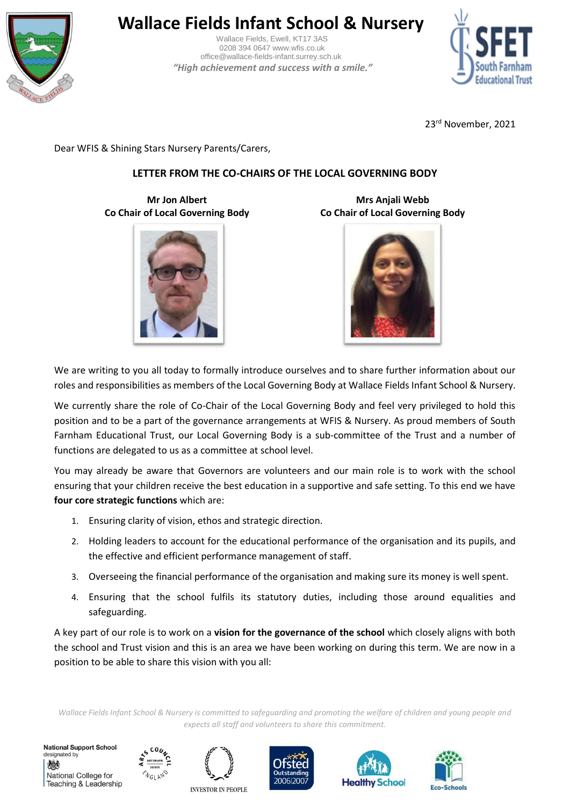

# **Wallace Fields Infant School & Nursery**

 Wallace Fields, Ewell, KT17 3AS 0208 394 0647 www.wfis.co.uk office@wallace-fields-infant.surrey.sch.uk  *"High achievement and success with a smile."*



23rd November, 2021

Dear WFIS & Shining Stars Nursery Parents/Carers,

# **LETTER FROM THE CO-CHAIRS OF THE LOCAL GOVERNING BODY**

**Mr Jon Albert Co Chair of Local Governing Body**



**Mrs Anjali Webb Co Chair of Local Governing Body**



We are writing to you all today to formally introduce ourselves and to share further information about our roles and responsibilities as members of the Local Governing Body at Wallace Fields Infant School & Nursery.

We currently share the role of Co-Chair of the Local Governing Body and feel very privileged to hold this position and to be a part of the governance arrangements at WFIS & Nursery. As proud members of South Farnham Educational Trust, our Local Governing Body is a sub-committee of the Trust and a number of functions are delegated to us as a committee at school level.

You may already be aware that Governors are volunteers and our main role is to work with the school ensuring that your children receive the best education in a supportive and safe setting. To this end we have **four core strategic functions** which are:

- 1. Ensuring clarity of vision, ethos and strategic direction.
- 2. Holding leaders to account for the educational performance of the organisation and its pupils, and the effective and efficient performance management of staff.
- 3. Overseeing the financial performance of the organisation and making sure its money is well spent.
- 4. Ensuring that the school fulfils its statutory duties, including those around equalities and safeguarding.

A key part of our role is to work on a **vision for the governance of the school** which closely aligns with both the school and Trust vision and this is an area we have been working on during this term. We are now in a position to be able to share this vision with you all:

*Wallace Fields Infant School & Nursery is committed to safeguarding and promoting the welfare of children and young people and expects all staff and volunteers to share this commitment.*

**National Support School** designated by 燃 National College for Teaching & Leadership









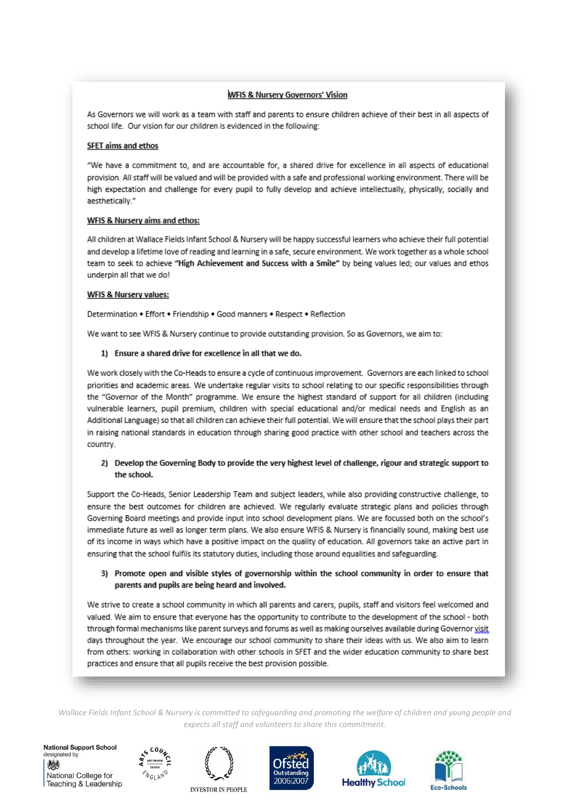# WFIS & Nursery Governors' Vision

As Governors we will work as a team with staff and parents to ensure children achieve of their best in all aspects of school life. Our vision for our children is evidenced in the following:

#### SFET aims and ethos

"We have a commitment to, and are accountable for, a shared drive for excellence in all aspects of educational provision. All staff will be valued and will be provided with a safe and professional working environment. There will be high expectation and challenge for every pupil to fully develop and achieve intellectually, physically, socially and aesthetically."

#### WFIS & Nursery aims and ethos:

All children at Wallace Fields Infant School & Nursery will be happy successful learners who achieve their full potential and develop a lifetime love of reading and learning in a safe, secure environment. We work together as a whole school team to seek to achieve "High Achievement and Success with a Smile" by being values led; our values and ethos underpin all that we do!

#### **WFIS & Nursery values:**

Determination . Effort . Friendship . Good manners . Respect . Reflection

We want to see WFIS & Nursery continue to provide outstanding provision. So as Governors, we aim to:

#### 1) Ensure a shared drive for excellence in all that we do.

We work closely with the Co-Heads to ensure a cycle of continuous improvement. Governors are each linked to school priorities and academic areas. We undertake regular visits to school relating to our specific responsibilities through the "Governor of the Month" programme. We ensure the highest standard of support for all children (including vulnerable learners, pupil premium, children with special educational and/or medical needs and English as an Additional Language) so that all children can achieve their full potential. We will ensure that the school plays their part in raising national standards in education through sharing good practice with other school and teachers across the country.

# 2) Develop the Governing Body to provide the very highest level of challenge, rigour and strategic support to the school.

Support the Co-Heads, Senior Leadership Team and subject leaders, while also providing constructive challenge, to ensure the best outcomes for children are achieved. We regularly evaluate strategic plans and policies through Governing Board meetings and provide input into school development plans. We are focussed both on the school's immediate future as well as longer term plans. We also ensure WFIS & Nursery is financially sound, making best use of its income in ways which have a positive impact on the quality of education. All governors take an active part in ensuring that the school fulfils its statutory duties, including those around equalities and safeguarding.

# 3) Promote open and visible styles of governorship within the school community in order to ensure that parents and pupils are being heard and involved.

We strive to create a school community in which all parents and carers, pupils, staff and visitors feel welcomed and valued. We aim to ensure that everyone has the opportunity to contribute to the development of the school - both through formal mechanisms like parent surveys and forums as well as making ourselves available during Governor visit days throughout the year. We encourage our school community to share their ideas with us. We also aim to learn from others: working in collaboration with other schools in SFET and the wider education community to share best practices and ensure that all pupils receive the best provision possible.

Wallace Fields Infant School & Nursery is committed to safeguarding and promoting the welfare of children and young people and expects all staff and volunteers to share this commitment.

**National Support School** designated by 燃 National College for Teaching & Leadership